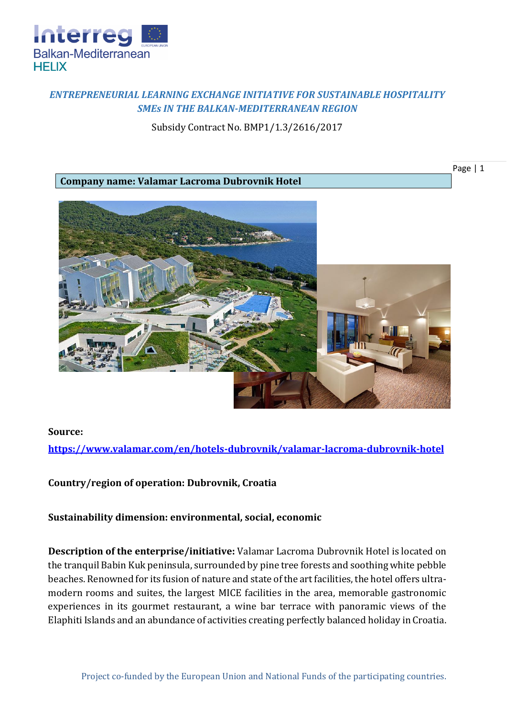

## *ENTREPRENEURIAL LEARNING EXCHANGE INITIATIVE FOR SUSTAINABLE HOSPITALITY SMEs IN THE BALKAN-MEDITERRANEAN REGION*

Subsidy Contract No. BMP1/1.3/2616/2017

**Company name: Valamar Lacroma Dubrovnik Hotel**





## **Source:**

**<https://www.valamar.com/en/hotels-dubrovnik/valamar-lacroma-dubrovnik-hotel>**

**Country/region of operation: Dubrovnik, Croatia**

**Sustainability dimension: environmental, social, economic**

**Description of the enterprise/initiative:** Valamar Lacroma Dubrovnik Hotel is located on the tranquil Babin Kuk peninsula, surrounded by pine tree forests and soothing white pebble beaches. Renowned for its fusion of nature and state of the art facilities, the hotel offers ultramodern rooms and suites, the largest MICE facilities in the area, memorable gastronomic experiences in its gourmet restaurant, a wine bar terrace with panoramic views of the Elaphiti Islands and an abundance of activities creating perfectly balanced holiday in Croatia.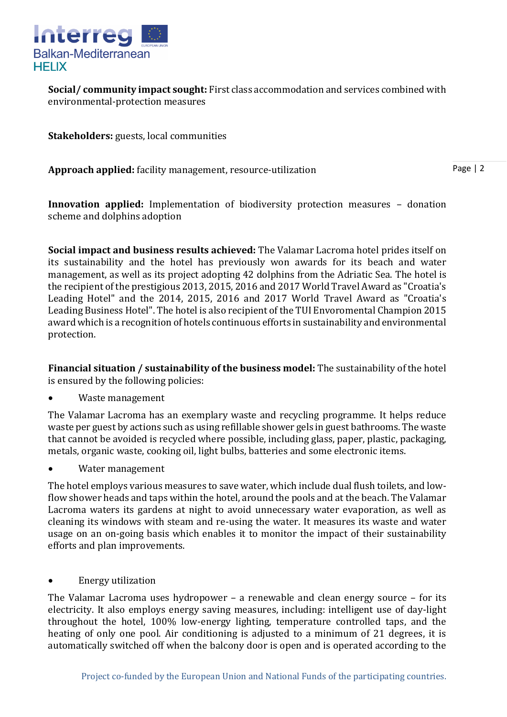

**Social/ community impact sought:** First class accommodation and services combined with environmental-protection measures

**Stakeholders:** guests, local communities

**Approach applied:** facility management, resource-utilization

Page | 2

**Innovation applied:** Implementation of biodiversity protection measures – donation scheme and dolphins adoption

**Social impact and business results achieved:** The Valamar Lacroma hotel prides itself on its sustainability and the hotel has previously won awards for its beach and water management, as well as its project adopting 42 dolphins from the Adriatic Sea. The hotel is the recipient of the prestigious 2013, 2015, 2016 and 2017 World Travel Award as "Croatia's Leading Hotel" and the 2014, 2015, 2016 and 2017 World Travel Award as "Croatia's Leading Business Hotel". The hotel is also recipient of the TUI Envoromental Champion 2015 award which is a recognition of hotels continuous efforts in sustainability and environmental protection.

**Financial situation / sustainability of the business model:** The sustainability of the hotel is ensured by the following policies:

Waste management

The Valamar Lacroma has an exemplary waste and recycling programme. It helps reduce waste per guest by actions such as using refillable shower gels in guest bathrooms. The waste that cannot be avoided is recycled where possible, including glass, paper, plastic, packaging, metals, organic waste, cooking oil, light bulbs, batteries and some electronic items.

Water management

The hotel employs various measures to save water, which include dual flush toilets, and lowflow shower heads and taps within the hotel, around the pools and at the beach. The Valamar Lacroma waters its gardens at night to avoid unnecessary water evaporation, as well as cleaning its windows with steam and re-using the water. It measures its waste and water usage on an on-going basis which enables it to monitor the impact of their sustainability efforts and plan improvements.

• Energy utilization

The Valamar Lacroma uses hydropower – a renewable and clean energy source – for its electricity. It also employs energy saving measures, including: intelligent use of day-light throughout the hotel, 100% low-energy lighting, temperature controlled taps, and the heating of only one pool. Air conditioning is adjusted to a minimum of 21 degrees, it is automatically switched off when the balcony door is open and is operated according to the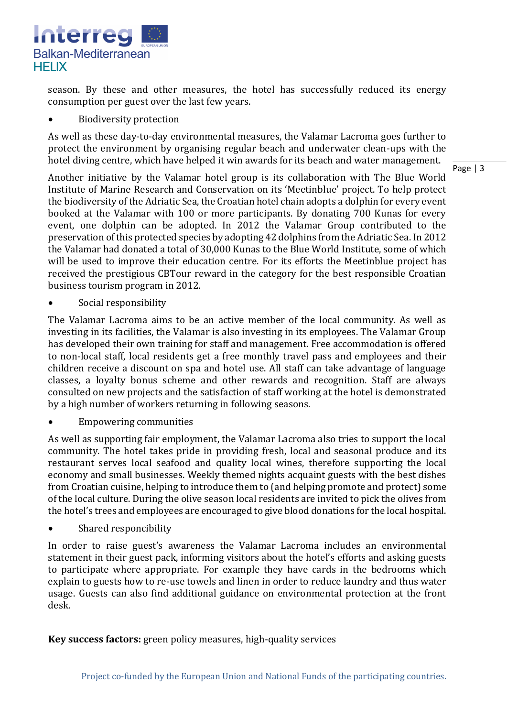

season. By these and other measures, the hotel has successfully reduced its energy consumption per guest over the last few years.

• Biodiversity protection

As well as these day-to-day environmental measures, the Valamar Lacroma goes further to protect the environment by organising regular beach and underwater clean-ups with the hotel diving centre, which have helped it win awards for its beach and water management.

Page | 3

Another initiative by the Valamar hotel group is its collaboration with The Blue World Institute of Marine Research and Conservation on its 'Meetinblue' project. To help protect the biodiversity of the Adriatic Sea, the Croatian hotel chain adopts a dolphin for every event booked at the Valamar with 100 or more participants. By donating 700 Kunas for every event, one dolphin can be adopted. In 2012 the Valamar Group contributed to the preservation of this protected species by adopting 42 dolphins from the Adriatic Sea. In 2012 the Valamar had donated a total of 30,000 Kunas to the Blue World Institute, some of which will be used to improve their education centre. For its efforts the Meetinblue project has received the prestigious CBTour reward in the category for the best responsible Croatian business tourism program in 2012.

Social responsibility

The Valamar Lacroma aims to be an active member of the local community. As well as investing in its facilities, the Valamar is also investing in its employees. The Valamar Group has developed their own training for staff and management. Free accommodation is offered to non-local staff, local residents get a free monthly travel pass and employees and their children receive a discount on spa and hotel use. All staff can take advantage of language classes, a loyalty bonus scheme and other rewards and recognition. Staff are always consulted on new projects and the satisfaction of staff working at the hotel is demonstrated by a high number of workers returning in following seasons.

Empowering communities

As well as supporting fair employment, the Valamar Lacroma also tries to support the local community. The hotel takes pride in providing fresh, local and seasonal produce and its restaurant serves local seafood and quality local wines, therefore supporting the local economy and small businesses. Weekly themed nights acquaint guests with the best dishes from Croatian cuisine, helping to introduce them to (and helping promote and protect) some of the local culture. During the olive season local residents are invited to pick the olives from the hotel's trees and employees are encouraged to give blood donations for the local hospital.

• Shared responcibility

In order to raise guest's awareness the Valamar Lacroma includes an environmental statement in their guest pack, informing visitors about the hotel's efforts and asking guests to participate where appropriate. For example they have cards in the bedrooms which explain to guests how to re-use towels and linen in order to reduce laundry and thus water usage. Guests can also find additional guidance on environmental protection at the front desk.

**Key success factors:** green policy measures, high-quality services